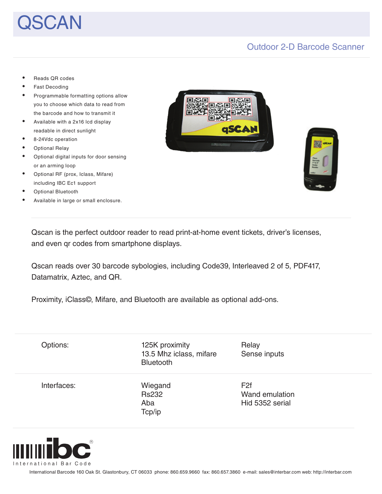# $SCAN$

### Outdoor 2-D Barcode Scanner

- Reads QR codes
- Fast Decoding
- Programmable formatting options allow you to choose which data to read from the barcode and how to transmit it
- Available with a 2x16 lcd display readable in direct sunlight
- 8-24Vdc operation
- **Optional Relay**
- Optional digital inputs for door sensing or an arming loop
- Optional RF (prox, Iclass, Mifare) including IBC Ec1 support
- **Optional Bluetooth**
- Available in large or small enclosure.





Qscan is the perfect outdoor reader to read print-at-home event tickets, driver's licenses, and even qr codes from smartphone displays.

Qscan reads over 30 barcode sybologies, including Code39, Interleaved 2 of 5, PDF417, Datamatrix, Aztec, and QR.

Proximity, iClass©, Mifare, and Bluetooth are available as optional add-ons.

| Options:    | 125K proximity<br>13.5 Mhz iclass, mifare<br>Bluetooth | Relay<br>Sense inputs |
|-------------|--------------------------------------------------------|-----------------------|
| Interfaces: | Wiegand                                                | F <sub>2f</sub>       |
|             | <b>Rs232</b>                                           | Wand emulation        |
|             | Aba                                                    | Hid 5352 serial       |
|             | Tcp/ip                                                 |                       |



International Barcode 160 Oak St. Glastonbury, CT 06033 phone: 860.659.9660 fax: 860.657.3860 e-mail: sales@interbar.com web: http://interbar.com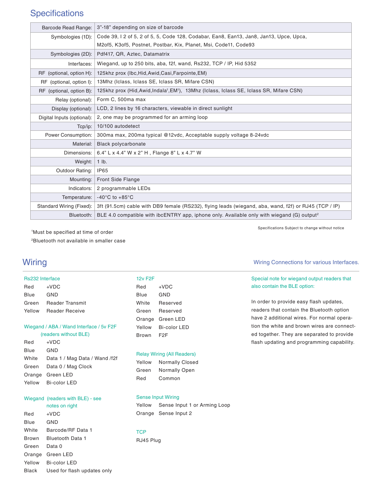# **Specifications**

| Barcode Read Range:        | 3"-18" depending on size of barcode                                                                               |
|----------------------------|-------------------------------------------------------------------------------------------------------------------|
| Symbologies (1D):          | Code 39, I 2 of 5, 2 of 5, 5, Code 128, Codabar, Ean8, Ean13, Jan8, Jan13, Upce, Upca,                            |
|                            | M2of5, K3of5, Postnet, Postbar, Kix, Planet, Msi, Code11, Code93                                                  |
| Symbologies (2D):          | Pdf417, QR, Aztec, Datamatrix                                                                                     |
| Interfaces:                | Wiegand, up to 250 bits, aba, f2f, wand, Rs232, TCP / IP, Hid 5352                                                |
| RF (optional, option H):   | 125khz prox (Ibc, Hid, Awid, Casi, Farpointe, EM)                                                                 |
| RF (optional, option I):   | 13Mhz (Iclass, Iclass SE, Iclass SR, Mifare CSN)                                                                  |
| RF (optional, option B):   | 125khz prox (Hid, Awid, Indala <sup>1</sup> , EM <sup>1</sup> ), 13Mhz (Iclass, Iclass SE, Iclass SR, Mifare CSN) |
| Relay (optional):          | Form C, 500ma max                                                                                                 |
| Display (optional):        | LCD, 2 lines by 16 characters, viewable in direct sunlight                                                        |
| Digital Inputs (optional): | 2, one may be programmed for an arming loop                                                                       |
| Tcp/ip:                    | 10/100 autodetect                                                                                                 |
| Power Consumption:         | 300ma max, 200ma typical @12vdc, Acceptable supply voltage 8-24vdc                                                |
| Material:                  | <b>Black polycarbonate</b>                                                                                        |
| Dimensions:                | 6.4" L x 4.4" W x 2" H, Flange 8" L x 4.7" W                                                                      |
| Weight:                    | $1$ lb.                                                                                                           |
| Outdoor Rating:            | IP <sub>65</sub>                                                                                                  |
| Mounting:                  | Front Side Flange                                                                                                 |
| Indicators:                | 2 programmable LEDs                                                                                               |
| Temperature:               | $-40^{\circ}$ C to $+85^{\circ}$ C                                                                                |
| Standard Wiring (Fixed):   | 3ft (91.5cm) cable with DB9 female (RS232), flying leads (wiegand, aba, wand, f2f) or RJ45 (TCP / IP)             |
| Bluetooth:                 | BLE 4.0 compatible with ibcENTRY app, iphone only. Available only with wiegand (G) output <sup>2</sup>            |

1 Must be specified at time of order 2Bluetooth not available in smaller case

### Wiring Wiring Connections for various Interfaces.

#### Rs232 Interface

| Red    | +VDC                   |
|--------|------------------------|
| Blue   | GND                    |
| Green  | <b>Reader Transmit</b> |
| Yellow | <b>Reader Receive</b>  |

#### Wiegand / ABA / Wand Interface / 5v F2F

|       | (readers without BLE)         |
|-------|-------------------------------|
| Red   | $+VDC$                        |
| Blue  | GND                           |
| White | Data 1 / Mag Data / Wand /f2f |

#### Green Data 0 / Mag Clock Orange Green LED Yellow Bi-color LED

### Wiegand (readers with BLE) - see

 notes on right

Red +VDC Blue GND White Barcode/RF Data 1 Brown Bluetooth Data 1 Green Data 0 Orange Green LED Yellow Bi-color LED Black Used for flash updates only

| 12v F2F |              |
|---------|--------------|
| Red     | +VDC         |
| Blue    | GND          |
| White   | Reserved     |
| Green   | Reserved     |
| Orange  | Green LED    |
| Yellow  | Bi-color LED |
| Brown   | F2F          |

#### Relay Wiring (All Readers)

| Yellow | <b>Normally Closed</b> |
|--------|------------------------|
| Green  | <b>Normally Open</b>   |
| Red    | Common                 |

#### Sense Input Wiring

Yellow Sense Input 1 or Arming Loop Orange Sense Input 2

### **TCP**

RJ45 Plug

Specifications Subject to change without notice

#### Special note for wiegand output readers that also contain the BLE option:

In order to provide easy flash updates, readers that contain the Bluetooth option have 2 additional wires. For normal operation the white and brown wires are connected together. They are separated to provide flash updating and programming capability.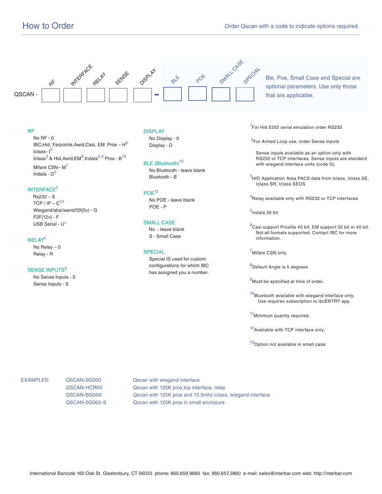

Ble, Poe, Small Case and Special are optional parameters. Use only those that are applicable.

#### RF

 No RF - 0 IBC, Hid, Farpointe, Awid, Casi, EM Prox -  $H^6$ Iclass- $1^3$ Iclass $^3$  & Hid,Awid,EM $^9$ ,Indala $^{5,9}$  Prox - B $^{13}$ Mifare CSN-M<sup>7</sup> Indala -  $D^5$ 

#### INTERFACE<sup>1</sup>

 Rs232 – S TCP / IP  $- C^{13}$  Wiegand/aba/wand/f2f(5v) - G F2F(12v) - F USB Serial - U<sup>11</sup>

#### RELAY4

 No Relay – 0 Relay - R

#### SENSE INPUTS<sup>2</sup>

 No Sense Inputs - 0 Sense Inputs - S

#### DISPLAY

 No Display - 0 Display - D

#### BLE (Bluetooth)<sup>10</sup>

 No Bluetooth - leave blank Bluetooth - B

#### POE<sup>12</sup>

 No POE - leave blank POE - P

#### SMALL CASE

 No - leave blank S - Small Case

#### **SPECIAL**

 Special IS used for custom configurations for which IBC has assigned you a number. <sup>1</sup>For Hid 5352 serial emulation order RS232

<sup>2</sup>For Armed Loop use, order Sense Inputs

 Sense inputs available as an option only with RS232 or TCP interfaces. Sense inputs are standard with wiegand interface units (code G).

 $3$ HID Application Area PACS data from Iclass, Iclass SE, Iclass SR, Iclass SEOS

 $^4$ Relay available only with RS232 or TCP interfaces

<sup>5</sup>Indala 26 bit

 $6$ Casi support Proxlite 40 bit. EM support 32 bit or 40 bit. Not all formats supported. Contact IBC for more information.

<sup>7</sup>Mifare CSN only.

<sup>8</sup>Default Angle is 5 degrees

 $9$ Must be specified at time of order.

 $10$ Bluetooth available with wiegand interface only. Use requires subscription to ibcENTRY app.

11Minimum quantiy required.

12 Available with TCP interface only.

13 Option not available in small case.

EXAMPLES: QSCAN-0G000 Qscan with wiegand interface QSCAN-HCR00 **QSCAN-HCR00** Qscan with 125K prox,tcp interface, relay QSCAN-BG000 **QSCAN-BG000** Qscan with 125K prox and 13.5mhz iclass, wiegand interface QSCAN-0G000-S **QSCAN-0G000-S** QSCAN with 125K prox in small enclosure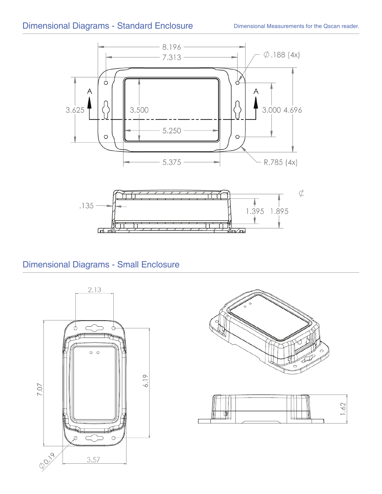

# Dimensional Diagrams - Small Enclosure